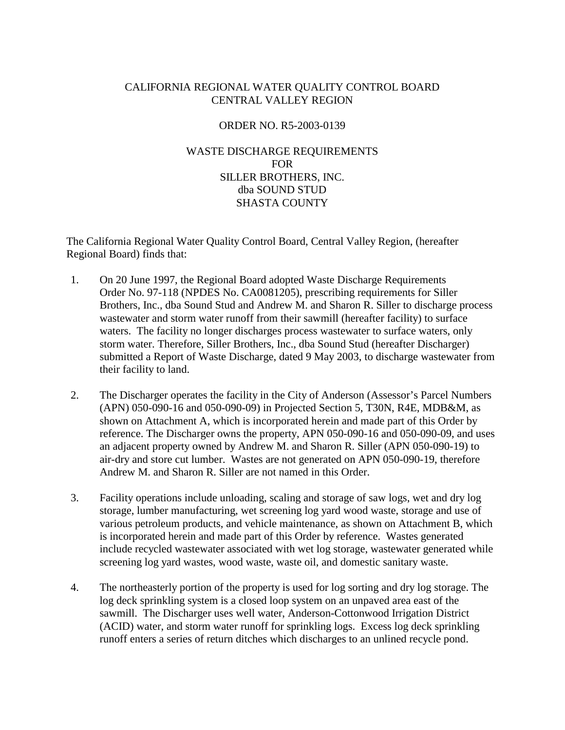# CALIFORNIA REGIONAL WATER QUALITY CONTROL BOARD CENTRAL VALLEY REGION

## ORDER NO. R5-2003-0139

# WASTE DISCHARGE REQUIREMENTS FOR SILLER BROTHERS, INC. dba SOUND STUD SHASTA COUNTY

The California Regional Water Quality Control Board, Central Valley Region, (hereafter Regional Board) finds that:

- 1. On 20 June 1997, the Regional Board adopted Waste Discharge Requirements Order No. 97-118 (NPDES No. CA0081205), prescribing requirements for Siller Brothers, Inc., dba Sound Stud and Andrew M. and Sharon R. Siller to discharge process wastewater and storm water runoff from their sawmill (hereafter facility) to surface waters. The facility no longer discharges process wastewater to surface waters, only storm water. Therefore, Siller Brothers, Inc., dba Sound Stud (hereafter Discharger) submitted a Report of Waste Discharge, dated 9 May 2003, to discharge wastewater from their facility to land.
- 2. The Discharger operates the facility in the City of Anderson (Assessor's Parcel Numbers (APN) 050-090-16 and 050-090-09) in Projected Section 5, T30N, R4E, MDB&M, as shown on Attachment A, which is incorporated herein and made part of this Order by reference. The Discharger owns the property, APN 050-090-16 and 050-090-09, and uses an adjacent property owned by Andrew M. and Sharon R. Siller (APN 050-090-19) to air-dry and store cut lumber. Wastes are not generated on APN 050-090-19, therefore Andrew M. and Sharon R. Siller are not named in this Order.
- 3. Facility operations include unloading, scaling and storage of saw logs, wet and dry log storage, lumber manufacturing, wet screening log yard wood waste, storage and use of various petroleum products, and vehicle maintenance, as shown on Attachment B, which is incorporated herein and made part of this Order by reference. Wastes generated include recycled wastewater associated with wet log storage, wastewater generated while screening log yard wastes, wood waste, waste oil, and domestic sanitary waste.
- 4. The northeasterly portion of the property is used for log sorting and dry log storage. The log deck sprinkling system is a closed loop system on an unpaved area east of the sawmill. The Discharger uses well water, Anderson-Cottonwood Irrigation District (ACID) water, and storm water runoff for sprinkling logs. Excess log deck sprinkling runoff enters a series of return ditches which discharges to an unlined recycle pond.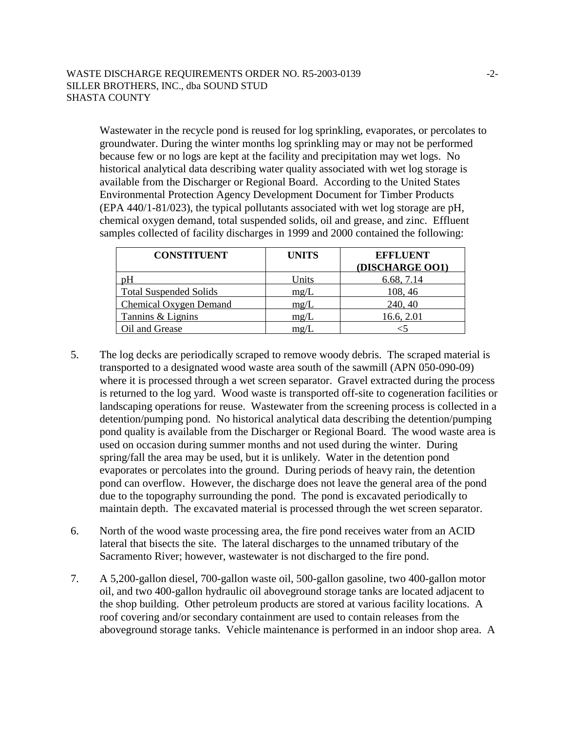Wastewater in the recycle pond is reused for log sprinkling, evaporates, or percolates to groundwater. During the winter months log sprinkling may or may not be performed because few or no logs are kept at the facility and precipitation may wet logs. No historical analytical data describing water quality associated with wet log storage is available from the Discharger or Regional Board. According to the United States Environmental Protection Agency Development Document for Timber Products (EPA 440/1-81/023), the typical pollutants associated with wet log storage are pH, chemical oxygen demand, total suspended solids, oil and grease, and zinc. Effluent samples collected of facility discharges in 1999 and 2000 contained the following:

| <b>CONSTITUENT</b>            | <b>UNITS</b> | <b>EFFLUENT</b> |
|-------------------------------|--------------|-----------------|
|                               |              | (DISCHARGE OO1) |
| pH                            | Units        | 6.68, 7.14      |
| <b>Total Suspended Solids</b> | mg/L         | 108, 46         |
| Chemical Oxygen Demand        | mg/L         | 240, 40         |
| Tannins & Lignins             | mg/L         | 16.6, 2.01      |
| Oil and Grease                | mg/L         |                 |

- 5. The log decks are periodically scraped to remove woody debris. The scraped material is transported to a designated wood waste area south of the sawmill (APN 050-090-09) where it is processed through a wet screen separator. Gravel extracted during the process is returned to the log yard. Wood waste is transported off-site to cogeneration facilities or landscaping operations for reuse. Wastewater from the screening process is collected in a detention/pumping pond. No historical analytical data describing the detention/pumping pond quality is available from the Discharger or Regional Board. The wood waste area is used on occasion during summer months and not used during the winter. During spring/fall the area may be used, but it is unlikely. Water in the detention pond evaporates or percolates into the ground. During periods of heavy rain, the detention pond can overflow. However, the discharge does not leave the general area of the pond due to the topography surrounding the pond. The pond is excavated periodically to maintain depth. The excavated material is processed through the wet screen separator.
- 6. North of the wood waste processing area, the fire pond receives water from an ACID lateral that bisects the site. The lateral discharges to the unnamed tributary of the Sacramento River; however, wastewater is not discharged to the fire pond.
- 7. A 5,200-gallon diesel, 700-gallon waste oil, 500-gallon gasoline, two 400-gallon motor oil, and two 400-gallon hydraulic oil aboveground storage tanks are located adjacent to the shop building. Other petroleum products are stored at various facility locations. A roof covering and/or secondary containment are used to contain releases from the aboveground storage tanks. Vehicle maintenance is performed in an indoor shop area. A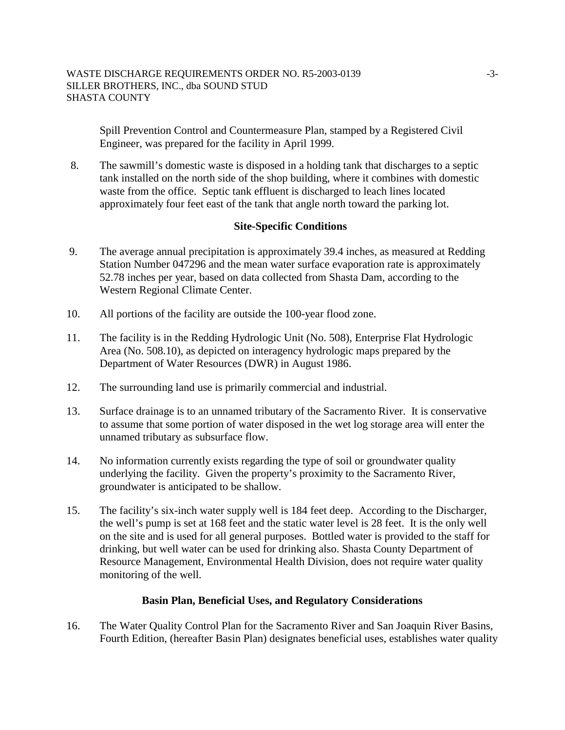Spill Prevention Control and Countermeasure Plan, stamped by a Registered Civil Engineer, was prepared for the facility in April 1999.

8. The sawmill's domestic waste is disposed in a holding tank that discharges to a septic tank installed on the north side of the shop building, where it combines with domestic waste from the office. Septic tank effluent is discharged to leach lines located approximately four feet east of the tank that angle north toward the parking lot.

## **Site-Specific Conditions**

- 9. The average annual precipitation is approximately 39.4 inches, as measured at Redding Station Number 047296 and the mean water surface evaporation rate is approximately 52.78 inches per year, based on data collected from Shasta Dam, according to the Western Regional Climate Center.
- 10. All portions of the facility are outside the 100-year flood zone.
- 11. The facility is in the Redding Hydrologic Unit (No. 508), Enterprise Flat Hydrologic Area (No. 508.10), as depicted on interagency hydrologic maps prepared by the Department of Water Resources (DWR) in August 1986.
- 12. The surrounding land use is primarily commercial and industrial.
- 13. Surface drainage is to an unnamed tributary of the Sacramento River. It is conservative to assume that some portion of water disposed in the wet log storage area will enter the unnamed tributary as subsurface flow.
- 14. No information currently exists regarding the type of soil or groundwater quality underlying the facility. Given the property's proximity to the Sacramento River, groundwater is anticipated to be shallow.
- 15. The facility's six-inch water supply well is 184 feet deep. According to the Discharger, the well's pump is set at 168 feet and the static water level is 28 feet. It is the only well on the site and is used for all general purposes. Bottled water is provided to the staff for drinking, but well water can be used for drinking also. Shasta County Department of Resource Management, Environmental Health Division, does not require water quality monitoring of the well.

## **Basin Plan, Beneficial Uses, and Regulatory Considerations**

16. The Water Quality Control Plan for the Sacramento River and San Joaquin River Basins, Fourth Edition, (hereafter Basin Plan) designates beneficial uses, establishes water quality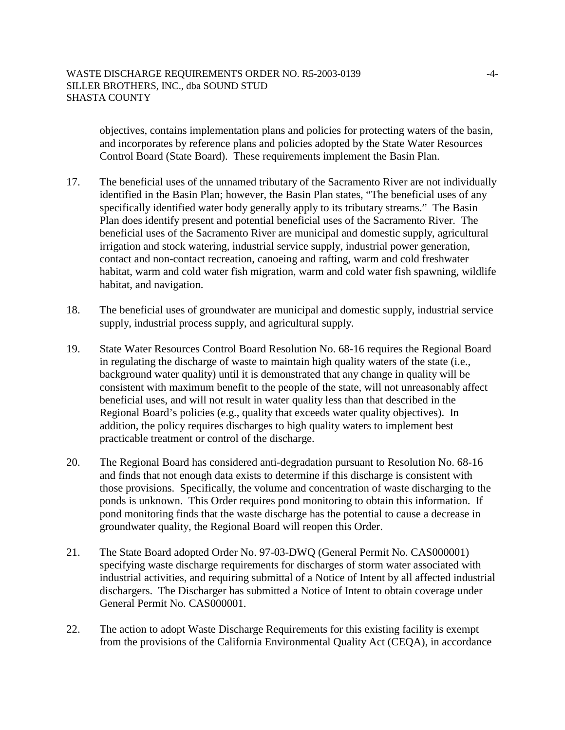objectives, contains implementation plans and policies for protecting waters of the basin, and incorporates by reference plans and policies adopted by the State Water Resources Control Board (State Board). These requirements implement the Basin Plan.

- 17. The beneficial uses of the unnamed tributary of the Sacramento River are not individually identified in the Basin Plan; however, the Basin Plan states, "The beneficial uses of any specifically identified water body generally apply to its tributary streams." The Basin Plan does identify present and potential beneficial uses of the Sacramento River. The beneficial uses of the Sacramento River are municipal and domestic supply, agricultural irrigation and stock watering, industrial service supply, industrial power generation, contact and non-contact recreation, canoeing and rafting, warm and cold freshwater habitat, warm and cold water fish migration, warm and cold water fish spawning, wildlife habitat, and navigation.
- 18. The beneficial uses of groundwater are municipal and domestic supply, industrial service supply, industrial process supply, and agricultural supply.
- 19. State Water Resources Control Board Resolution No. 68-16 requires the Regional Board in regulating the discharge of waste to maintain high quality waters of the state (i.e., background water quality) until it is demonstrated that any change in quality will be consistent with maximum benefit to the people of the state, will not unreasonably affect beneficial uses, and will not result in water quality less than that described in the Regional Board's policies (e.g., quality that exceeds water quality objectives). In addition, the policy requires discharges to high quality waters to implement best practicable treatment or control of the discharge.
- 20. The Regional Board has considered anti-degradation pursuant to Resolution No. 68-16 and finds that not enough data exists to determine if this discharge is consistent with those provisions. Specifically, the volume and concentration of waste discharging to the ponds is unknown. This Order requires pond monitoring to obtain this information. If pond monitoring finds that the waste discharge has the potential to cause a decrease in groundwater quality, the Regional Board will reopen this Order.
- 21. The State Board adopted Order No. 97-03-DWQ (General Permit No. CAS000001) specifying waste discharge requirements for discharges of storm water associated with industrial activities, and requiring submittal of a Notice of Intent by all affected industrial dischargers. The Discharger has submitted a Notice of Intent to obtain coverage under General Permit No. CAS000001.
- 22. The action to adopt Waste Discharge Requirements for this existing facility is exempt from the provisions of the California Environmental Quality Act (CEQA), in accordance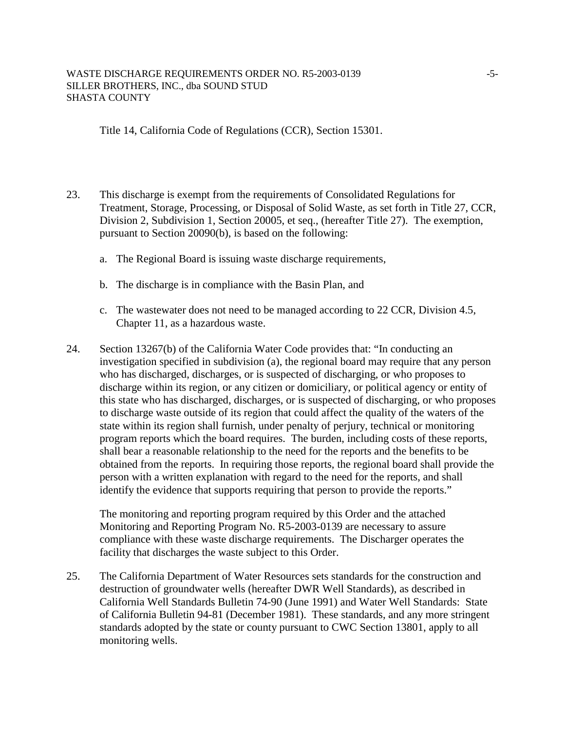#### WASTE DISCHARGE REQUIREMENTS ORDER NO. R5-2003-0139 -5-SILLER BROTHERS, INC., dba SOUND STUD SHASTA COUNTY

Title 14, California Code of Regulations (CCR), Section 15301.

- 23. This discharge is exempt from the requirements of Consolidated Regulations for Treatment, Storage, Processing, or Disposal of Solid Waste, as set forth in Title 27, CCR, Division 2, Subdivision 1, Section 20005, et seq., (hereafter Title 27). The exemption, pursuant to Section 20090(b), is based on the following:
	- a. The Regional Board is issuing waste discharge requirements,
	- b. The discharge is in compliance with the Basin Plan, and
	- c. The wastewater does not need to be managed according to 22 CCR, Division 4.5, Chapter 11, as a hazardous waste.
- 24. Section 13267(b) of the California Water Code provides that: "In conducting an investigation specified in subdivision (a), the regional board may require that any person who has discharged, discharges, or is suspected of discharging, or who proposes to discharge within its region, or any citizen or domiciliary, or political agency or entity of this state who has discharged, discharges, or is suspected of discharging, or who proposes to discharge waste outside of its region that could affect the quality of the waters of the state within its region shall furnish, under penalty of perjury, technical or monitoring program reports which the board requires. The burden, including costs of these reports, shall bear a reasonable relationship to the need for the reports and the benefits to be obtained from the reports. In requiring those reports, the regional board shall provide the person with a written explanation with regard to the need for the reports, and shall identify the evidence that supports requiring that person to provide the reports."

The monitoring and reporting program required by this Order and the attached Monitoring and Reporting Program No. R5-2003-0139 are necessary to assure compliance with these waste discharge requirements. The Discharger operates the facility that discharges the waste subject to this Order.

25. The California Department of Water Resources sets standards for the construction and destruction of groundwater wells (hereafter DWR Well Standards), as described in California Well Standards Bulletin 74-90 (June 1991) and Water Well Standards: State of California Bulletin 94-81 (December 1981). These standards, and any more stringent standards adopted by the state or county pursuant to CWC Section 13801, apply to all monitoring wells.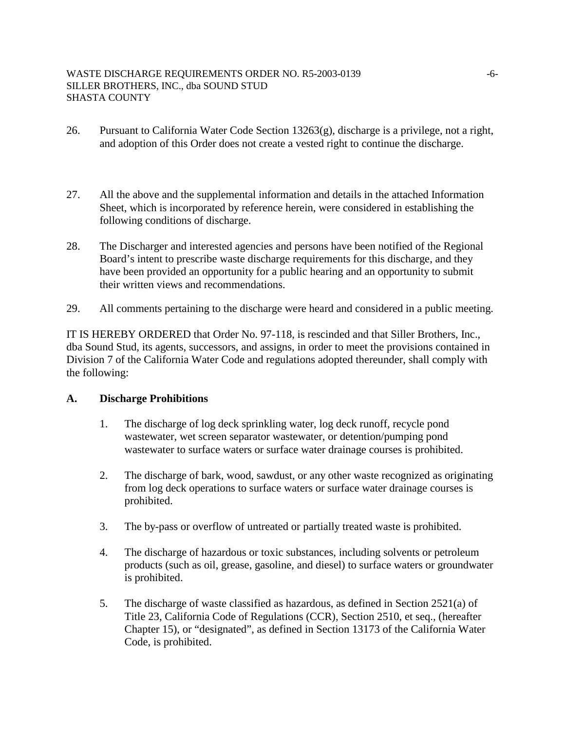- 26. Pursuant to California Water Code Section 13263(g), discharge is a privilege, not a right, and adoption of this Order does not create a vested right to continue the discharge.
- 27. All the above and the supplemental information and details in the attached Information Sheet, which is incorporated by reference herein, were considered in establishing the following conditions of discharge.
- 28. The Discharger and interested agencies and persons have been notified of the Regional Board's intent to prescribe waste discharge requirements for this discharge, and they have been provided an opportunity for a public hearing and an opportunity to submit their written views and recommendations.
- 29. All comments pertaining to the discharge were heard and considered in a public meeting.

IT IS HEREBY ORDERED that Order No. 97-118, is rescinded and that Siller Brothers, Inc., dba Sound Stud, its agents, successors, and assigns, in order to meet the provisions contained in Division 7 of the California Water Code and regulations adopted thereunder, shall comply with the following:

#### **A. Discharge Prohibitions**

- 1. The discharge of log deck sprinkling water, log deck runoff, recycle pond wastewater, wet screen separator wastewater, or detention/pumping pond wastewater to surface waters or surface water drainage courses is prohibited.
- 2. The discharge of bark, wood, sawdust, or any other waste recognized as originating from log deck operations to surface waters or surface water drainage courses is prohibited.
- 3. The by-pass or overflow of untreated or partially treated waste is prohibited.
- 4. The discharge of hazardous or toxic substances, including solvents or petroleum products (such as oil, grease, gasoline, and diesel) to surface waters or groundwater is prohibited.
- 5. The discharge of waste classified as hazardous, as defined in Section 2521(a) of Title 23, California Code of Regulations (CCR), Section 2510, et seq., (hereafter Chapter 15), or "designated", as defined in Section 13173 of the California Water Code, is prohibited.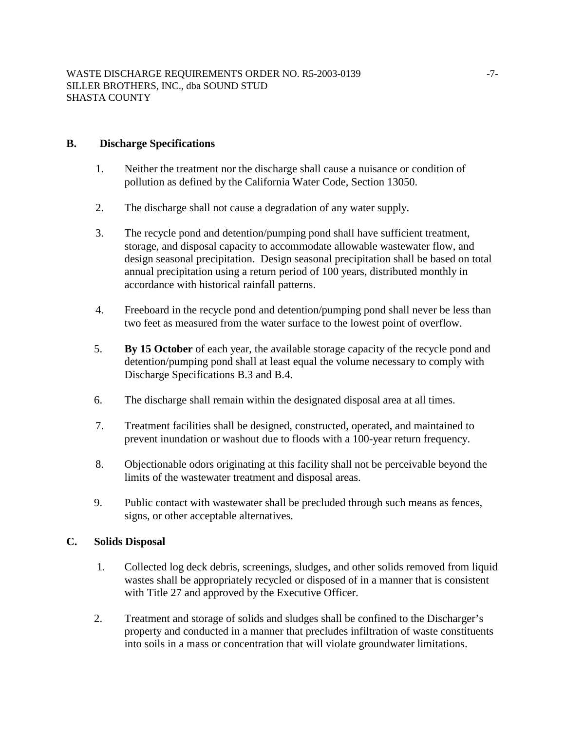## **B. Discharge Specifications**

- 1. Neither the treatment nor the discharge shall cause a nuisance or condition of pollution as defined by the California Water Code, Section 13050.
- 2. The discharge shall not cause a degradation of any water supply.
- 3. The recycle pond and detention/pumping pond shall have sufficient treatment, storage, and disposal capacity to accommodate allowable wastewater flow, and design seasonal precipitation. Design seasonal precipitation shall be based on total annual precipitation using a return period of 100 years, distributed monthly in accordance with historical rainfall patterns.
- 4. Freeboard in the recycle pond and detention/pumping pond shall never be less than two feet as measured from the water surface to the lowest point of overflow.
- 5. **By 15 October** of each year, the available storage capacity of the recycle pond and detention/pumping pond shall at least equal the volume necessary to comply with Discharge Specifications B.3 and B.4.
- 6. The discharge shall remain within the designated disposal area at all times.
- 7. Treatment facilities shall be designed, constructed, operated, and maintained to prevent inundation or washout due to floods with a 100-year return frequency.
- 8. Objectionable odors originating at this facility shall not be perceivable beyond the limits of the wastewater treatment and disposal areas.
- 9. Public contact with wastewater shall be precluded through such means as fences, signs, or other acceptable alternatives.

## **C. Solids Disposal**

- 1. Collected log deck debris, screenings, sludges, and other solids removed from liquid wastes shall be appropriately recycled or disposed of in a manner that is consistent with Title 27 and approved by the Executive Officer.
- 2. Treatment and storage of solids and sludges shall be confined to the Discharger's property and conducted in a manner that precludes infiltration of waste constituents into soils in a mass or concentration that will violate groundwater limitations.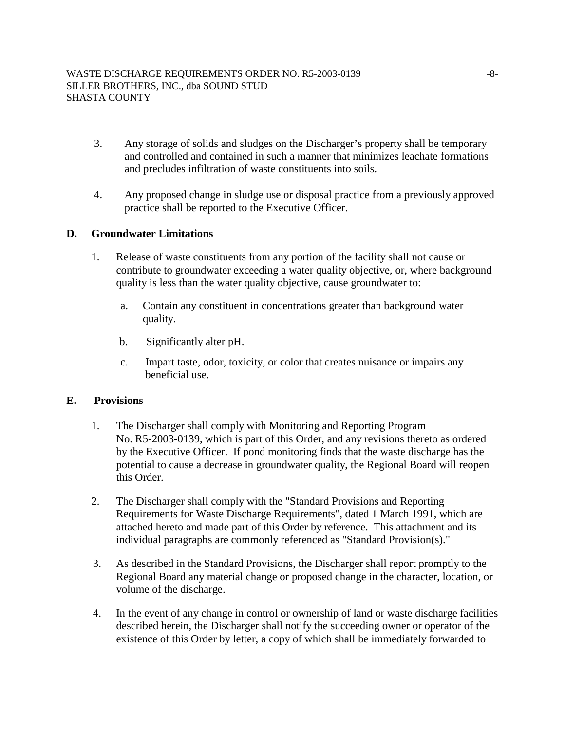- 3. Any storage of solids and sludges on the Discharger's property shall be temporary and controlled and contained in such a manner that minimizes leachate formations and precludes infiltration of waste constituents into soils.
- 4. Any proposed change in sludge use or disposal practice from a previously approved practice shall be reported to the Executive Officer.

# **D. Groundwater Limitations**

- 1. Release of waste constituents from any portion of the facility shall not cause or contribute to groundwater exceeding a water quality objective, or, where background quality is less than the water quality objective, cause groundwater to:
	- a. Contain any constituent in concentrations greater than background water quality.
	- b. Significantly alter pH.
	- c. Impart taste, odor, toxicity, or color that creates nuisance or impairs any beneficial use.

## **E. Provisions**

- 1. The Discharger shall comply with Monitoring and Reporting Program No. R5-2003-0139, which is part of this Order, and any revisions thereto as ordered by the Executive Officer. If pond monitoring finds that the waste discharge has the potential to cause a decrease in groundwater quality, the Regional Board will reopen this Order.
- 2. The Discharger shall comply with the "Standard Provisions and Reporting Requirements for Waste Discharge Requirements", dated 1 March 1991, which are attached hereto and made part of this Order by reference. This attachment and its individual paragraphs are commonly referenced as "Standard Provision(s)."
- 3. As described in the Standard Provisions, the Discharger shall report promptly to the Regional Board any material change or proposed change in the character, location, or volume of the discharge.
- 4. In the event of any change in control or ownership of land or waste discharge facilities described herein, the Discharger shall notify the succeeding owner or operator of the existence of this Order by letter, a copy of which shall be immediately forwarded to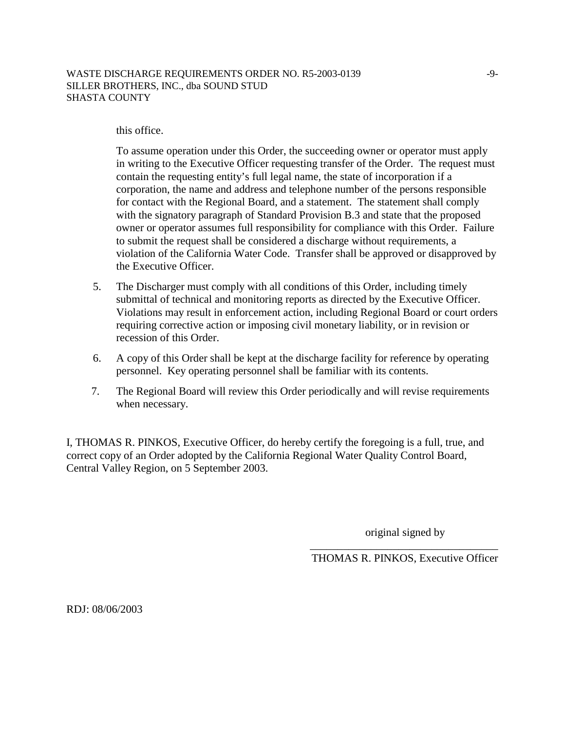#### WASTE DISCHARGE REQUIREMENTS ORDER NO. R5-2003-0139 -9-SILLER BROTHERS, INC., dba SOUND STUD SHASTA COUNTY

#### this office.

To assume operation under this Order, the succeeding owner or operator must apply in writing to the Executive Officer requesting transfer of the Order. The request must contain the requesting entity's full legal name, the state of incorporation if a corporation, the name and address and telephone number of the persons responsible for contact with the Regional Board, and a statement. The statement shall comply with the signatory paragraph of Standard Provision B.3 and state that the proposed owner or operator assumes full responsibility for compliance with this Order. Failure to submit the request shall be considered a discharge without requirements, a violation of the California Water Code. Transfer shall be approved or disapproved by the Executive Officer.

- 5. The Discharger must comply with all conditions of this Order, including timely submittal of technical and monitoring reports as directed by the Executive Officer. Violations may result in enforcement action, including Regional Board or court orders requiring corrective action or imposing civil monetary liability, or in revision or recession of this Order.
- 6. A copy of this Order shall be kept at the discharge facility for reference by operating personnel. Key operating personnel shall be familiar with its contents.
- 7. The Regional Board will review this Order periodically and will revise requirements when necessary.

I, THOMAS R. PINKOS, Executive Officer, do hereby certify the foregoing is a full, true, and correct copy of an Order adopted by the California Regional Water Quality Control Board, Central Valley Region, on 5 September 2003.

original signed by

\_\_\_\_\_\_\_\_\_\_\_\_\_\_\_\_\_\_\_\_\_\_\_\_\_\_\_\_\_\_\_\_\_\_ THOMAS R. PINKOS, Executive Officer

RDJ: 08/06/2003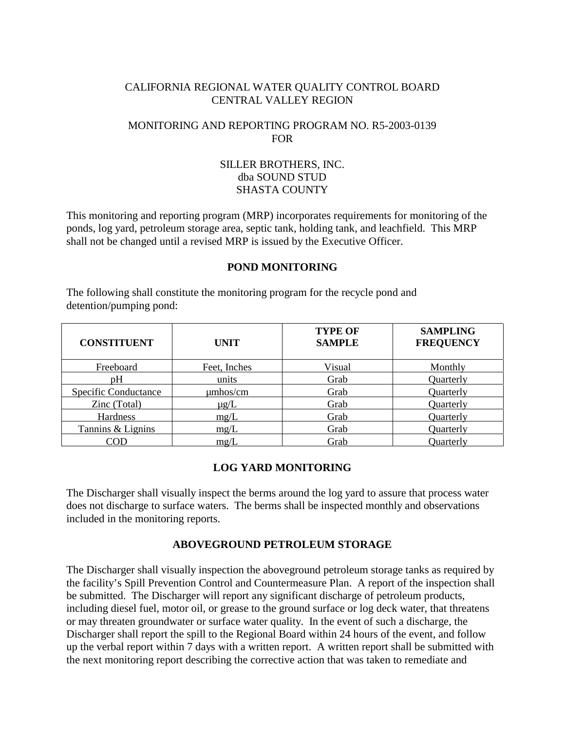# CALIFORNIA REGIONAL WATER QUALITY CONTROL BOARD CENTRAL VALLEY REGION

# MONITORING AND REPORTING PROGRAM NO. R5-2003-0139 **FOR**

# SILLER BROTHERS, INC. dba SOUND STUD SHASTA COUNTY

This monitoring and reporting program (MRP) incorporates requirements for monitoring of the ponds, log yard, petroleum storage area, septic tank, holding tank, and leachfield. This MRP shall not be changed until a revised MRP is issued by the Executive Officer.

### **POND MONITORING**

The following shall constitute the monitoring program for the recycle pond and detention/pumping pond:

| <b>CONSTITUENT</b>          | <b>UNIT</b>   | <b>TYPE OF</b><br><b>SAMPLE</b> | <b>SAMPLING</b><br><b>FREQUENCY</b> |
|-----------------------------|---------------|---------------------------------|-------------------------------------|
| Freeboard                   | Feet, Inches  | Visual                          | Monthly                             |
| pH                          | units         | Grab                            | Quarterly                           |
| <b>Specific Conductance</b> | $\mu$ mhos/cm | Grab                            | Quarterly                           |
| Zinc (Total)                | $\mu$ g/L     | Grab                            | Quarterly                           |
| Hardness                    | mg/L          | Grab                            | Quarterly                           |
| Tannins & Lignins           | mg/L          | Grab                            | Quarterly                           |
| COD                         | mg/L          | Grab                            | Ouarterlv                           |

## **LOG YARD MONITORING**

The Discharger shall visually inspect the berms around the log yard to assure that process water does not discharge to surface waters. The berms shall be inspected monthly and observations included in the monitoring reports.

# **ABOVEGROUND PETROLEUM STORAGE**

The Discharger shall visually inspection the aboveground petroleum storage tanks as required by the facility's Spill Prevention Control and Countermeasure Plan. A report of the inspection shall be submitted. The Discharger will report any significant discharge of petroleum products, including diesel fuel, motor oil, or grease to the ground surface or log deck water, that threatens or may threaten groundwater or surface water quality. In the event of such a discharge, the Discharger shall report the spill to the Regional Board within 24 hours of the event, and follow up the verbal report within 7 days with a written report. A written report shall be submitted with the next monitoring report describing the corrective action that was taken to remediate and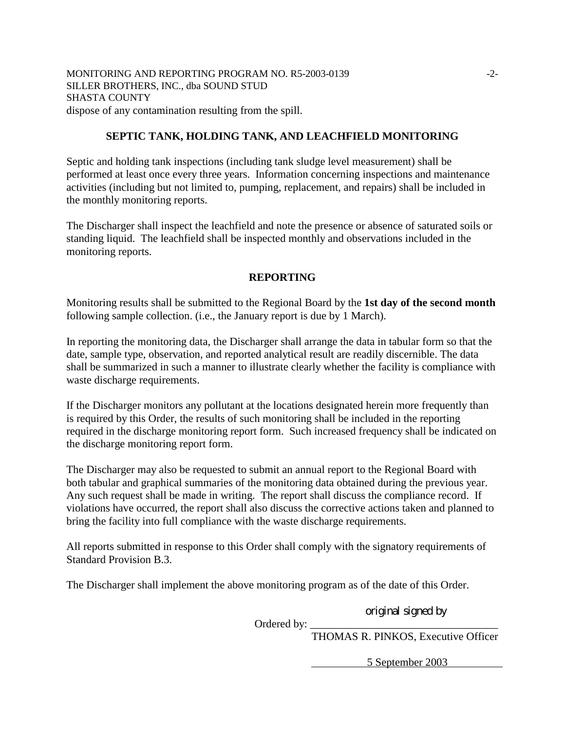MONITORING AND REPORTING PROGRAM NO. R5-2003-0139 -2-SILLER BROTHERS, INC., dba SOUND STUD SHASTA COUNTY dispose of any contamination resulting from the spill.

#### **SEPTIC TANK, HOLDING TANK, AND LEACHFIELD MONITORING**

Septic and holding tank inspections (including tank sludge level measurement) shall be performed at least once every three years. Information concerning inspections and maintenance activities (including but not limited to, pumping, replacement, and repairs) shall be included in the monthly monitoring reports.

The Discharger shall inspect the leachfield and note the presence or absence of saturated soils or standing liquid. The leachfield shall be inspected monthly and observations included in the monitoring reports.

#### **REPORTING**

Monitoring results shall be submitted to the Regional Board by the **1st day of the second month** following sample collection. (i.e., the January report is due by 1 March).

In reporting the monitoring data, the Discharger shall arrange the data in tabular form so that the date, sample type, observation, and reported analytical result are readily discernible. The data shall be summarized in such a manner to illustrate clearly whether the facility is compliance with waste discharge requirements.

If the Discharger monitors any pollutant at the locations designated herein more frequently than is required by this Order, the results of such monitoring shall be included in the reporting required in the discharge monitoring report form. Such increased frequency shall be indicated on the discharge monitoring report form.

The Discharger may also be requested to submit an annual report to the Regional Board with both tabular and graphical summaries of the monitoring data obtained during the previous year. Any such request shall be made in writing. The report shall discuss the compliance record. If violations have occurred, the report shall also discuss the corrective actions taken and planned to bring the facility into full compliance with the waste discharge requirements.

All reports submitted in response to this Order shall comply with the signatory requirements of Standard Provision B.3.

The Discharger shall implement the above monitoring program as of the date of this Order.

original signed by

Ordered by:

THOMAS R. PINKOS, Executive Officer

5 September 2003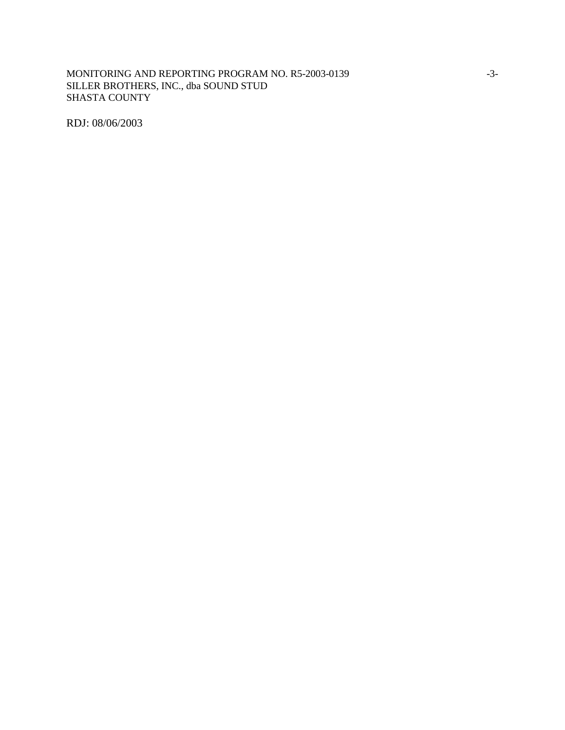### MONITORING AND REPORTING PROGRAM NO. R5-2003-0139 -3-SILLER BROTHERS, INC., dba SOUND STUD SHASTA COUNTY

RDJ: 08/06/2003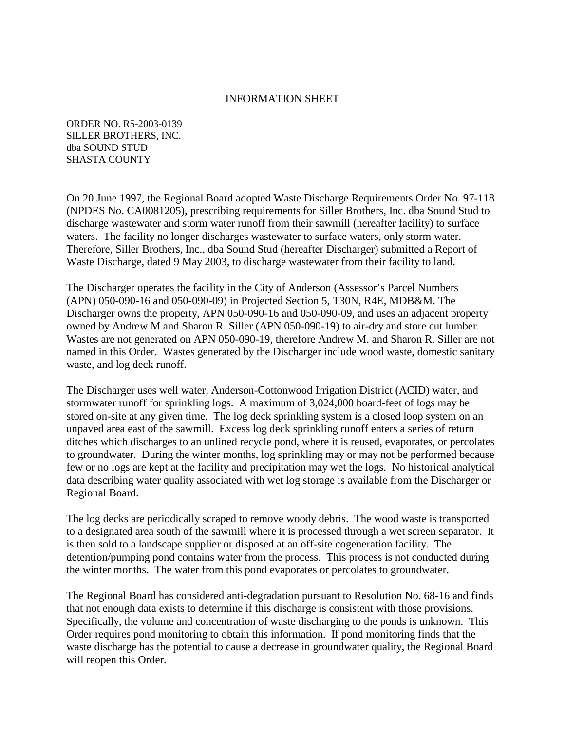### INFORMATION SHEET

ORDER NO. R5-2003-0139 SILLER BROTHERS, INC. dba SOUND STUD SHASTA COUNTY

On 20 June 1997, the Regional Board adopted Waste Discharge Requirements Order No. 97-118 (NPDES No. CA0081205), prescribing requirements for Siller Brothers, Inc. dba Sound Stud to discharge wastewater and storm water runoff from their sawmill (hereafter facility) to surface waters. The facility no longer discharges wastewater to surface waters, only storm water. Therefore, Siller Brothers, Inc., dba Sound Stud (hereafter Discharger) submitted a Report of Waste Discharge, dated 9 May 2003, to discharge wastewater from their facility to land.

The Discharger operates the facility in the City of Anderson (Assessor's Parcel Numbers (APN) 050-090-16 and 050-090-09) in Projected Section 5, T30N, R4E, MDB&M. The Discharger owns the property, APN 050-090-16 and 050-090-09, and uses an adjacent property owned by Andrew M and Sharon R. Siller (APN 050-090-19) to air-dry and store cut lumber. Wastes are not generated on APN 050-090-19, therefore Andrew M. and Sharon R. Siller are not named in this Order. Wastes generated by the Discharger include wood waste, domestic sanitary waste, and log deck runoff.

The Discharger uses well water, Anderson-Cottonwood Irrigation District (ACID) water, and stormwater runoff for sprinkling logs. A maximum of 3,024,000 board-feet of logs may be stored on-site at any given time. The log deck sprinkling system is a closed loop system on an unpaved area east of the sawmill. Excess log deck sprinkling runoff enters a series of return ditches which discharges to an unlined recycle pond, where it is reused, evaporates, or percolates to groundwater. During the winter months, log sprinkling may or may not be performed because few or no logs are kept at the facility and precipitation may wet the logs. No historical analytical data describing water quality associated with wet log storage is available from the Discharger or Regional Board.

The log decks are periodically scraped to remove woody debris. The wood waste is transported to a designated area south of the sawmill where it is processed through a wet screen separator. It is then sold to a landscape supplier or disposed at an off-site cogeneration facility. The detention/pumping pond contains water from the process. This process is not conducted during the winter months. The water from this pond evaporates or percolates to groundwater.

The Regional Board has considered anti-degradation pursuant to Resolution No. 68-16 and finds that not enough data exists to determine if this discharge is consistent with those provisions. Specifically, the volume and concentration of waste discharging to the ponds is unknown. This Order requires pond monitoring to obtain this information. If pond monitoring finds that the waste discharge has the potential to cause a decrease in groundwater quality, the Regional Board will reopen this Order.